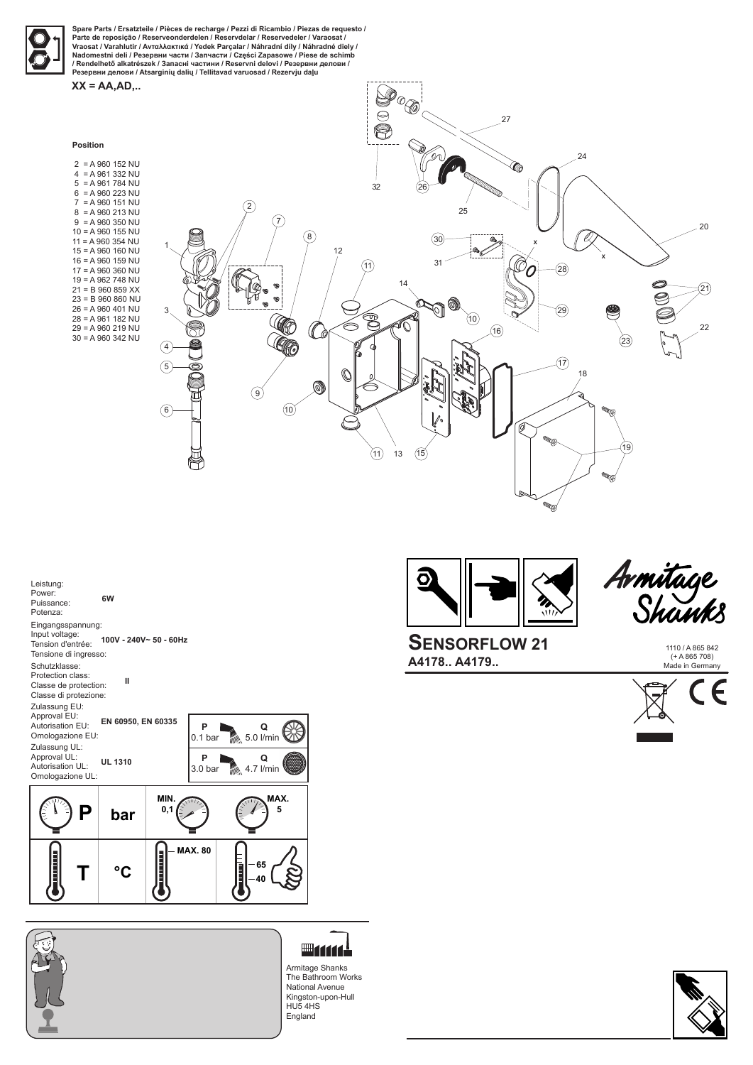1110 / A 865 842 (+ A 865 708) Made in Germany





**SENSORFLOW 21 A4178.. A4179..**

Armitage



**Spare Parts / Ersatzteile / Pièces de recharge / Pezzi di Ricambio / Piezas de requesto / Parte de reposição / Reserveonderdelen / Reservdelar / Reservedeler / Varaosat / Vraosat / Varahlutir / Ανταλλακτικά / Yedek Parçalar / Náhradní díly / Náhradné diely / Nadomestni deli / Резервни части / Запчасти / Części Zapasowe / Piese de schimb / Rendelhető alkatrészek / Запасні частини / Reservni delovi / Резервни делови / Резервни делови / Atsarginių dalių / Tellitavad varuosad / Rezervju daļu**

 $2 = A 960 152 NU$  4 = A 961 332 NU  $5 = A 961 784 NU$  6 = A 960 223 NU 7 = A 960 151 NU 8 = A 960 213 NU  $9 = A 960 350 NU$ 10 = A 960 155 NU 11 = A 960 354 NU 15 = A 960 160 NU 16 = A 960 159 NU 17 = A 960 360 NU 19 = A 962 748 NU 21 = B 960 859 XX 23 = B 960 860 NU 26 = A 960 401 NU 28 = A 961 182 NU 29 = A 960 219 NU 30 = A 960 342 NU

**XX = AA,AD,..**

Armitage Shanks The Bathroom Works National Avenue Kingston-upon-Hull HU5 4HS England







| Leistung:<br>Power:<br>Puissance:<br>Potenza:                                          | 6W                     |                         |                |  |
|----------------------------------------------------------------------------------------|------------------------|-------------------------|----------------|--|
| Eingangsspannung:<br>Input voltage:<br>Tension d'entrée:<br>Tensione di ingresso:      | 100V - 240V~ 50 - 60Hz |                         |                |  |
| Schutzklasse:<br>Protection class:<br>Classe de protection:<br>Classe di protezione:   | Ш                      |                         |                |  |
| Zulassung EU:<br>Approval EU:<br>Autorisation EU:<br>Omologazione EU:<br>Zulassung UL: | EN 60950, EN 60335     | P<br>0.1 <sub>bar</sub> | Q<br>5.0 l/min |  |
| Approval UL:<br>Autorisation UL:<br>Omologazione UL:                                   | <b>UL 1310</b>         | P<br>3.0 <sub>bar</sub> | Q<br>4.7 l/min |  |
|                                                                                        |                        |                         |                |  |